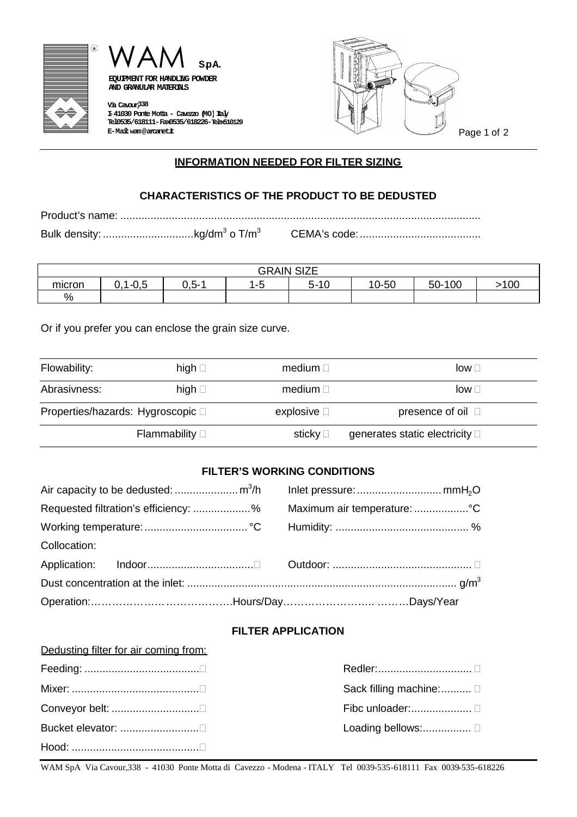



**AND GRANULAR MATERIALS**

**Via Cavour,338 I-41030 Ponte Motta - Cavezzo (MO)Italy Tel.0535/618111-Fax0535/618226-Telex510129**



Page 1 of 2

## **INFORMATION NEEDED FOR FILTER SIZING**

## **CHARACTERISTICS OF THE PRODUCT TO BE DEDUSTED**

Product's name: .......................................................................................................................

Bulk density: ..............................kg/dm<sup>3</sup> o T/m<sup>3</sup> CEMA's code:........................................

|        |                     |         | <b>GRAIN SIZE</b> |                |       |                 |      |
|--------|---------------------|---------|-------------------|----------------|-------|-----------------|------|
| micron | -4<br>-<br>ט.ט<br>ັ | $0.5 -$ | -<br>$-5$<br>ت -  | Ē<br>-10<br>ຕ- | 10-50 | $-100$<br>$50-$ | .100 |
| %      |                     |         |                   |                |       |                 |      |

Or if you prefer you can enclose the grain size curve.

| Flowability:                      | high $\square$         | medium $\Box$       | $low \sqcap$                           |
|-----------------------------------|------------------------|---------------------|----------------------------------------|
| Abrasivness:                      | high $\square$         | medium $\Box$       | $low \sqcap$                           |
| Properties/hazards: Hygroscopic □ |                        | explosive $\square$ | presence of oil $\Box$                 |
|                                   | Flammability $\square$ | sticky □            | generates static electricity $\square$ |

# **FILTER'S WORKING CONDITIONS**

| Requested filtration's efficiency: % Maximum air temperature: |  |  |
|---------------------------------------------------------------|--|--|
|                                                               |  |  |
| Collocation:                                                  |  |  |
|                                                               |  |  |
|                                                               |  |  |
|                                                               |  |  |

### **FILTER APPLICATION**

| Dedusting filter for air coming from: |                          |
|---------------------------------------|--------------------------|
|                                       | Redler:    □             |
|                                       | Sack filling machine:  □ |
| Conveyor belt: □                      |                          |
|                                       | Loading bellows: □       |
|                                       |                          |

WAM SpA Via Cavour,338 - 41030 Ponte Motta di Cavezzo - Modena - ITALY Tel 0039-535-618111 Fax 0039-535-618226